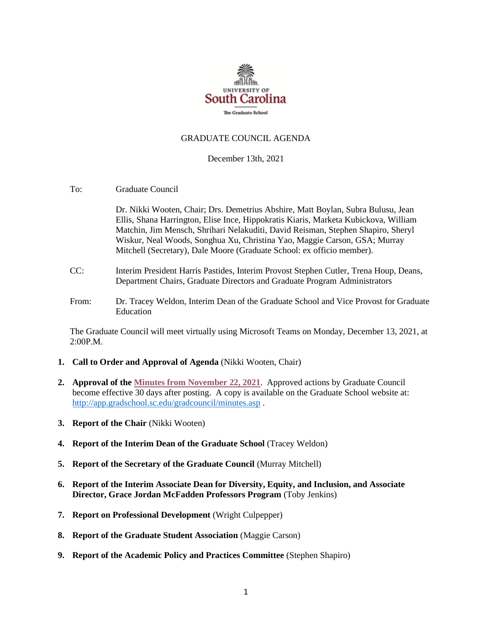

#### GRADUATE COUNCIL AGENDA

#### December 13th, 2021

To: Graduate Council

Dr. Nikki Wooten, Chair; Drs. Demetrius Abshire, Matt Boylan, Subra Bulusu, Jean Ellis, Shana Harrington, Elise Ince, Hippokratis Kiaris, Marketa Kubickova, William Matchin, Jim Mensch, Shrihari Nelakuditi, David Reisman, Stephen Shapiro, Sheryl Wiskur, Neal Woods, Songhua Xu, Christina Yao, Maggie Carson, GSA; Murray Mitchell (Secretary), Dale Moore (Graduate School: ex officio member).

- CC: Interim President Harris Pastides, Interim Provost Stephen Cutler, Trena Houp, Deans, Department Chairs, Graduate Directors and Graduate Program Administrators
- From: Dr. Tracey Weldon, Interim Dean of the Graduate School and Vice Provost for Graduate Education

The Graduate Council will meet virtually using Microsoft Teams on Monday, December 13, 2021, at 2:00P.M.

- **1. Call to Order and Approval of Agenda** (Nikki Wooten, Chair)
- **2. Approval of th[e Minutes from November](GCMINUTES11.22.21%20MM.pdf) 22, 2021**. Approved actions by Graduate Council become effective 30 days after posting. A copy is available on the Graduate School website at: <http://app.gradschool.sc.edu/gradcouncil/minutes.asp> .
- **3. Report of the Chair** (Nikki Wooten)
- **4. Report of the Interim Dean of the Graduate School** (Tracey Weldon)
- **5. Report of the Secretary of the Graduate Council** (Murray Mitchell)
- **6. Report of the Interim Associate Dean for Diversity, Equity, and Inclusion, and Associate Director, Grace Jordan McFadden Professors Program** (Toby Jenkins)
- **7. Report on Professional Development** (Wright Culpepper)
- **8. Report of the Graduate Student Association** (Maggie Carson)
- **9. Report of the Academic Policy and Practices Committee** (Stephen Shapiro)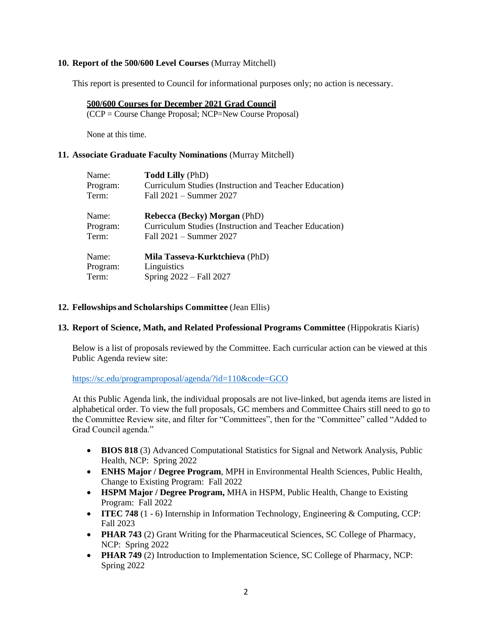## **10. Report of the 500/600 Level Courses** (Murray Mitchell)

This report is presented to Council for informational purposes only; no action is necessary.

### **500/600 Courses for December 2021 Grad Council**

(CCP = Course Change Proposal; NCP=New Course Proposal)

None at this time.

### **11. Associate Graduate Faculty Nominations** (Murray Mitchell)

| Name:    | <b>Todd Lilly (PhD)</b>                                |
|----------|--------------------------------------------------------|
| Program: | Curriculum Studies (Instruction and Teacher Education) |
| Term:    | Fall 2021 - Summer 2027                                |
| Name:    | <b>Rebecca (Becky) Morgan (PhD)</b>                    |
| Program: | Curriculum Studies (Instruction and Teacher Education) |
| Term:    | Fall $2021 -$ Summer $2027$                            |
| Name:    | Mila Tasseva-Kurktchieva (PhD)                         |
| Program: | Linguistics                                            |
| Term:    | Spring 2022 – Fall 2027                                |

### **12. Fellowships and Scholarships Committee** (Jean Ellis)

## **13. Report of Science, Math, and Related Professional Programs Committee** (Hippokratis Kiaris)

Below is a list of proposals reviewed by the Committee. Each curricular action can be viewed at this Public Agenda review site:

#### <https://sc.edu/programproposal/agenda/?id=110&code=GCO>

At this Public Agenda link, the individual proposals are not live-linked, but agenda items are listed in alphabetical order. To view the full proposals, GC members and Committee Chairs still need to go to the Committee Review site, and filter for "Committees", then for the "Committee" called "Added to Grad Council agenda."

- **BIOS 818** (3) Advanced Computational Statistics for Signal and Network Analysis, Public Health, NCP: Spring 2022
- **ENHS Major / Degree Program**, MPH in Environmental Health Sciences, Public Health, Change to Existing Program: Fall 2022
- **HSPM Major / Degree Program,** MHA in HSPM, Public Health, Change to Existing Program: Fall 2022
- **ITEC 748** (1 6) Internship in Information Technology, Engineering & Computing, CCP: Fall 2023
- **PHAR 743** (2) Grant Writing for the Pharmaceutical Sciences, SC College of Pharmacy, NCP: Spring 2022
- **PHAR 749** (2) Introduction to Implementation Science, SC College of Pharmacy, NCP: Spring 2022